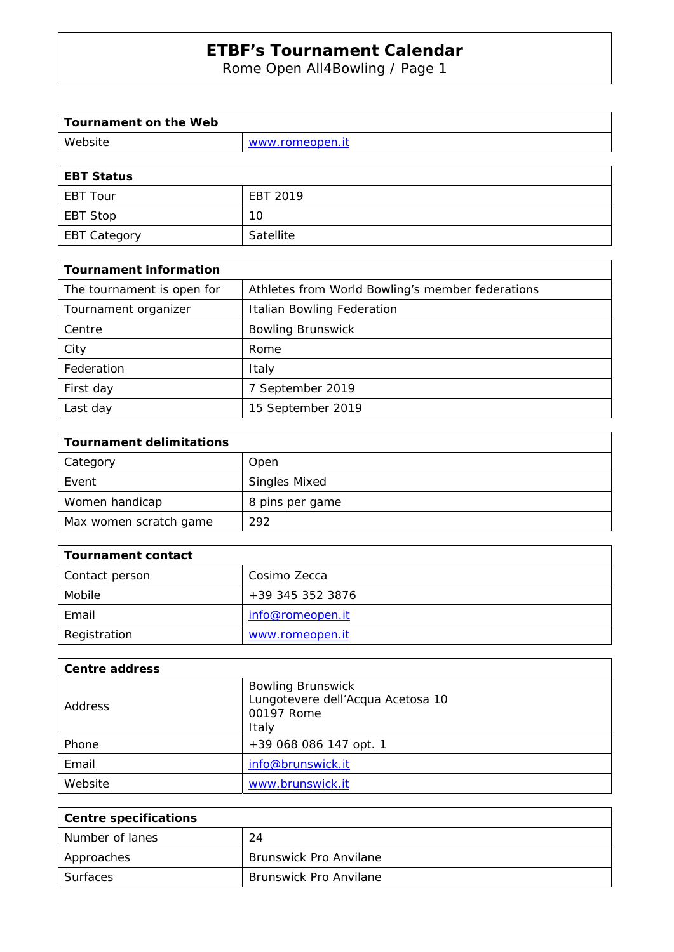Rome Open All4Bowling / Page 1

| Tournament on the Web |                 |
|-----------------------|-----------------|
| Website               | www.romeopen.it |
|                       |                 |

| EBT Status   |           |
|--------------|-----------|
| l EBT Tour   | EBT 2019  |
| EBT Stop     | 10        |
| EBT Category | Satellite |

| <b>Tournament information</b> |                                                  |
|-------------------------------|--------------------------------------------------|
| The tournament is open for    | Athletes from World Bowling's member federations |
| Tournament organizer          | Italian Bowling Federation                       |
| Centre                        | <b>Bowling Brunswick</b>                         |
| City                          | Rome                                             |
| Federation                    | Italy                                            |
| First day                     | 7 September 2019                                 |
| Last day                      | 15 September 2019                                |

| <b>Tournament delimitations</b> |                      |
|---------------------------------|----------------------|
| Category                        | Open                 |
| Event                           | <b>Singles Mixed</b> |
| Women handicap                  | 8 pins per game      |
| Max women scratch game          | 292                  |

| Tournament contact |                  |
|--------------------|------------------|
| Contact person     | Cosimo Zecca     |
| Mobile             | +39 345 352 3876 |
| Email              | info@romeopen.it |
| Registration       | www.romeopen.it  |

| <b>Centre address</b> |                                                                                      |
|-----------------------|--------------------------------------------------------------------------------------|
| Address               | <b>Bowling Brunswick</b><br>Lungotevere dell'Acqua Acetosa 10<br>00197 Rome<br>Italy |
| Phone                 | +39 068 086 147 opt. 1                                                               |
| Email                 | info@brunswick.it                                                                    |
| Website               | www.brunswick.it                                                                     |

| <b>Centre specifications</b> |                               |
|------------------------------|-------------------------------|
| Number of lanes              | 24                            |
| Approaches                   | <b>Brunswick Pro Anvilane</b> |
| Surfaces                     | <b>Brunswick Pro Anvilane</b> |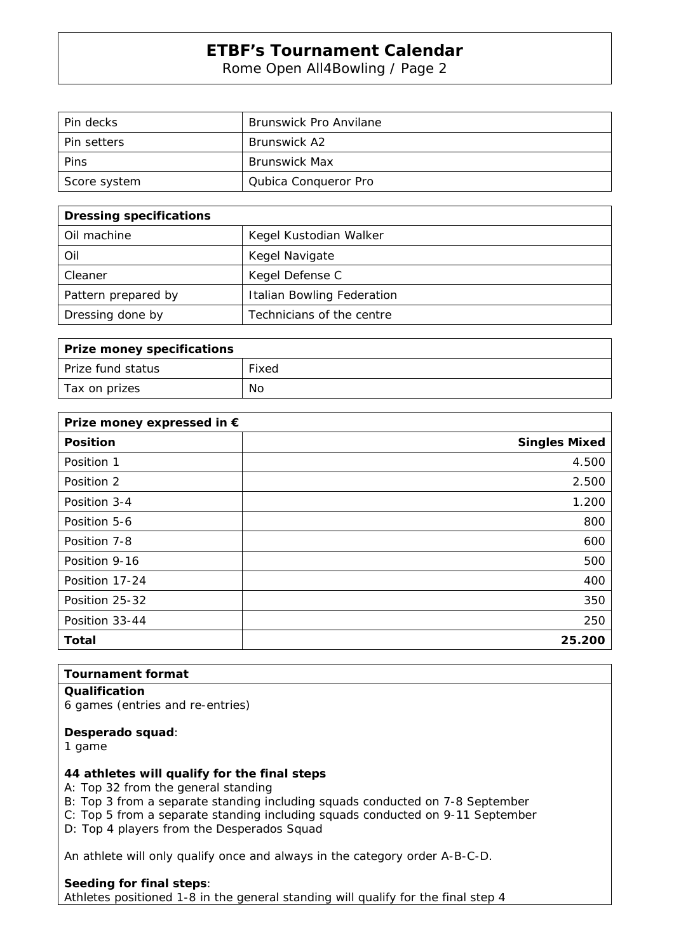Rome Open All4Bowling / Page 2

| Pin decks          | <b>Brunswick Pro Anvilane</b> |
|--------------------|-------------------------------|
| <b>Pin setters</b> | <b>Brunswick A2</b>           |
| Pins               | <b>Brunswick Max</b>          |
| Score system       | Qubica Conqueror Pro          |

| <b>Dressing specifications</b> |                                   |
|--------------------------------|-----------------------------------|
| Oil machine                    | Kegel Kustodian Walker            |
| Oil                            | Kegel Navigate                    |
| Cleaner                        | Kegel Defense C                   |
| Pattern prepared by            | <b>Italian Bowling Federation</b> |
| Dressing done by               | Technicians of the centre         |

| <b>Prize money specifications</b> |       |
|-----------------------------------|-------|
| Prize fund status                 | Fixed |
| Tax on prizes                     | No    |

| Prize money expressed in € |                      |
|----------------------------|----------------------|
| <b>Position</b>            | <b>Singles Mixed</b> |
| Position 1                 | 4.500                |
| Position 2                 | 2.500                |
| Position 3-4               | 1.200                |
| Position 5-6               | 800                  |
| Position 7-8               | 600                  |
| Position 9-16              | 500                  |
| Position 17-24             | 400                  |
| Position 25-32             | 350                  |
| Position 33-44             | 250                  |
| <b>Total</b>               | 25.200               |

#### **Tournament format**

#### **Qualification**

6 games (entries and re-entries)

#### **Desperado squad**:

1 game

#### **44 athletes will qualify for the final steps**

A: Top 32 from the general standing

- B: Top 3 from a separate standing including squads conducted on 7-8 September
- C: Top 5 from a separate standing including squads conducted on 9-11 September
- D: Top 4 players from the Desperados Squad

An athlete will only qualify once and always in the category order A-B-C-D.

#### **Seeding for final steps**:

Athletes positioned 1-8 in the general standing will qualify for the final step 4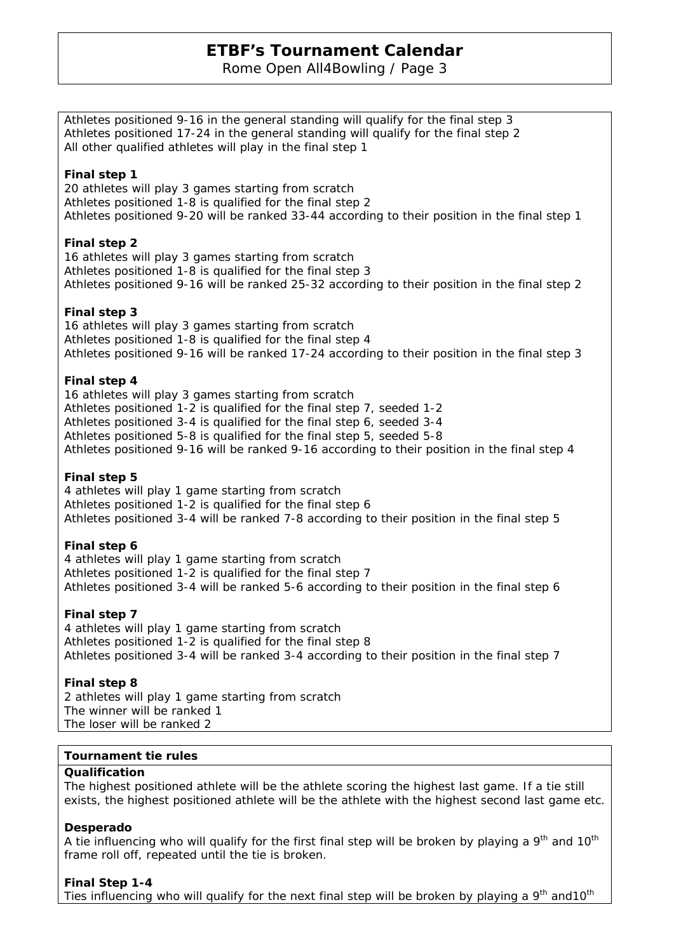Rome Open All4Bowling / Page 3

Athletes positioned 9-16 in the general standing will qualify for the final step 3 Athletes positioned 17-24 in the general standing will qualify for the final step 2 All other qualified athletes will play in the final step 1

#### **Final step 1**

20 athletes will play 3 games starting from scratch Athletes positioned 1-8 is qualified for the final step 2 Athletes positioned 9-20 will be ranked 33-44 according to their position in the final step 1

#### **Final step 2**

16 athletes will play 3 games starting from scratch Athletes positioned 1-8 is qualified for the final step 3 Athletes positioned 9-16 will be ranked 25-32 according to their position in the final step 2

#### **Final step 3**

16 athletes will play 3 games starting from scratch Athletes positioned 1-8 is qualified for the final step 4 Athletes positioned 9-16 will be ranked 17-24 according to their position in the final step 3

#### **Final step 4**

16 athletes will play 3 games starting from scratch Athletes positioned 1-2 is qualified for the final step 7, seeded 1-2 Athletes positioned 3-4 is qualified for the final step 6, seeded 3-4 Athletes positioned 5-8 is qualified for the final step 5, seeded 5-8 Athletes positioned 9-16 will be ranked 9-16 according to their position in the final step 4

#### **Final step 5**

4 athletes will play 1 game starting from scratch Athletes positioned 1-2 is qualified for the final step 6 Athletes positioned 3-4 will be ranked 7-8 according to their position in the final step 5

#### **Final step 6**

4 athletes will play 1 game starting from scratch Athletes positioned 1-2 is qualified for the final step 7 Athletes positioned 3-4 will be ranked 5-6 according to their position in the final step 6

#### **Final step 7**

4 athletes will play 1 game starting from scratch Athletes positioned 1-2 is qualified for the final step 8 Athletes positioned 3-4 will be ranked 3-4 according to their position in the final step 7

#### **Final step 8**

2 athletes will play 1 game starting from scratch The winner will be ranked 1 The loser will be ranked 2

#### **Tournament tie rules**

#### **Qualification**

The highest positioned athlete will be the athlete scoring the highest last game. If a tie still exists, the highest positioned athlete will be the athlete with the highest second last game etc.

#### **Desperado**

A tie influencing who will qualify for the first final step will be broken by playing a  $9<sup>th</sup>$  and  $10<sup>th</sup>$ frame roll off, repeated until the tie is broken.

**Final Step 1-4** Ties influencing who will qualify for the next final step will be broken by playing a  $9<sup>th</sup>$  and 10<sup>th</sup>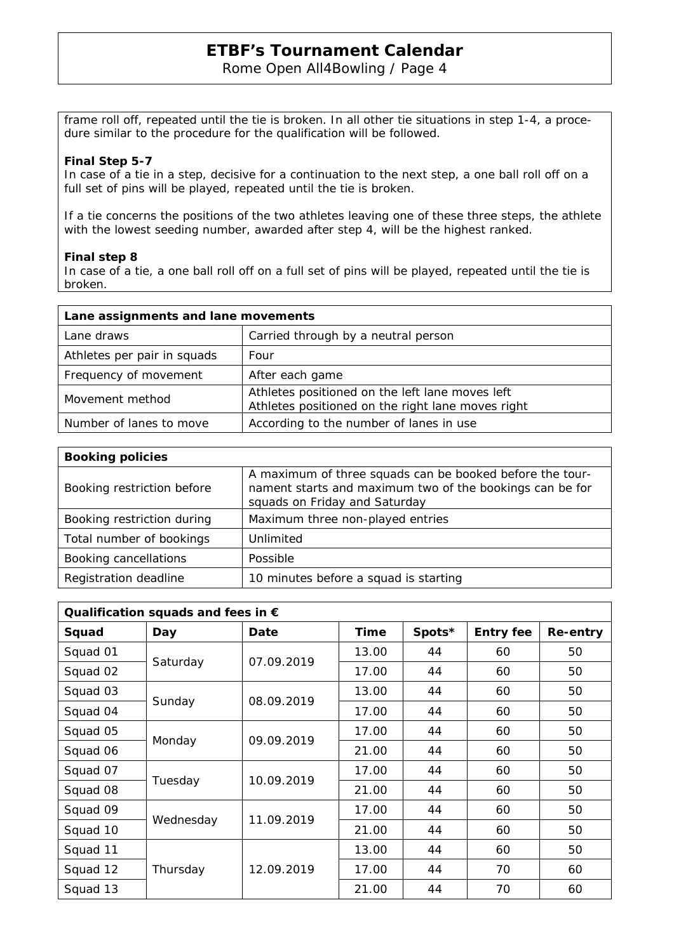#### Rome Open All4Bowling / Page 4

frame roll off, repeated until the tie is broken. In all other tie situations in step 1-4, a procedure similar to the procedure for the qualification will be followed.

#### **Final Step 5-7**

In case of a tie in a step, decisive for a continuation to the next step, a one ball roll off on a full set of pins will be played, repeated until the tie is broken.

If a tie concerns the positions of the two athletes leaving one of these three steps, the athlete with the lowest seeding number, awarded after step 4, will be the highest ranked.

#### **Final step 8**

In case of a tie, a one ball roll off on a full set of pins will be played, repeated until the tie is broken.

| Lane assignments and lane movements |                                                                                                      |
|-------------------------------------|------------------------------------------------------------------------------------------------------|
| Lane draws                          | Carried through by a neutral person                                                                  |
| Athletes per pair in squads         | Four                                                                                                 |
| Frequency of movement               | After each game                                                                                      |
| Movement method                     | Athletes positioned on the left lane moves left<br>Athletes positioned on the right lane moves right |
| Number of lanes to move             | According to the number of lanes in use                                                              |

| <b>Booking policies</b>    |                                                                                                                                                       |
|----------------------------|-------------------------------------------------------------------------------------------------------------------------------------------------------|
| Booking restriction before | A maximum of three squads can be booked before the tour-<br>nament starts and maximum two of the bookings can be for<br>squads on Friday and Saturday |
| Booking restriction during | Maximum three non-played entries                                                                                                                      |
| Total number of bookings   | Unlimited                                                                                                                                             |
| Booking cancellations      | Possible                                                                                                                                              |
| Registration deadline      | 10 minutes before a squad is starting                                                                                                                 |

| Qualification squads and fees in $\epsilon$ |           |            |             |        |                  |          |
|---------------------------------------------|-----------|------------|-------------|--------|------------------|----------|
| Squad                                       | Day       | Date       | <b>Time</b> | Spots* | <b>Entry fee</b> | Re-entry |
| Squad 01                                    | Saturday  | 07.09.2019 | 13.00       | 44     | 60               | 50       |
| Squad 02                                    |           |            | 17.00       | 44     | 60               | 50       |
| Squad 03                                    | Sunday    | 08.09.2019 | 13.00       | 44     | 60               | 50       |
| Squad 04                                    |           |            | 17.00       | 44     | 60               | 50       |
| Squad 05                                    | Monday    | 09.09.2019 | 17.00       | 44     | 60               | 50       |
| Squad 06                                    |           |            | 21.00       | 44     | 60               | 50       |
| Squad 07                                    | Tuesday   | 10.09.2019 | 17.00       | 44     | 60               | 50       |
| Squad 08                                    |           |            | 21.00       | 44     | 60               | 50       |
| Squad 09                                    | Wednesday | 11.09.2019 | 17.00       | 44     | 60               | 50       |
| Squad 10                                    |           |            | 21.00       | 44     | 60               | 50       |
| Squad 11                                    | Thursday  | 12.09.2019 | 13.00       | 44     | 60               | 50       |
| Squad 12                                    |           |            | 17.00       | 44     | 70               | 60       |
| Squad 13                                    |           |            | 21.00       | 44     | 70               | 60       |